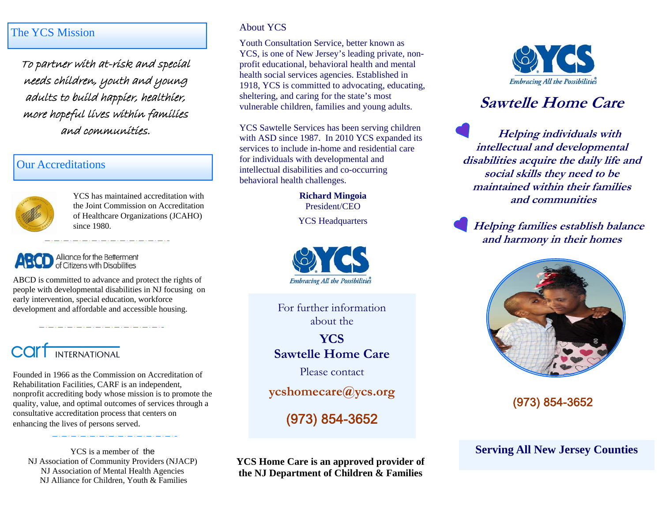### The YCS Mission

To partner with at-risk and special needs children, youth and young adults to build happier, healthier, more hopeful lives within families and communities.

#### Our Accreditations



YCS has maintained accreditation with the Joint Commission on Accreditation of Healthcare Organizations (JCAHO) since 1980.

#### Alliance for the Betterment of Citizens with Disabilities

ABCD is committed to advance and protect the rights of people with developmental disabilities in NJ focusing on early intervention, special education, workforce development and affordable and accessible housing.



Founded in 1966 as the Commission on Accreditation of Rehabilitation Facilities, CARF is an independent, nonprofit accrediting body whose mission is to promote the quality, value, and optimal outcomes of services through a consultative accreditation process that centers on enhancing the lives of persons served.

YCS is a member of the NJ Association of Community Providers (NJACP) NJ Association of Mental Health Agencies NJ Alliance for Children, Youth & Families

#### About YCS

Youth Consultation Service, better known as YCS, is one of New Jersey's leading private, nonprofit educational, behavioral health and mental health social services agencies. Established in 1918, YCS is committed to advocating, educating, sheltering, and caring for the state's most vulnerable children, families and young adults.

YCS Sawtelle Services has been serving children with ASD since 1987. In 2010 YCS expanded its services to include in-home and residential care for individuals with developmental and intellectual disabilities and co-occurring behavioral health challenges.

> **Richard Mingoia**  President/CEO

YCS Headquarters



For further information about the

**YCS Sawtelle Home Care** 

Please contact

**ycshomecare@ycs.org**

(973) 854-3652

**YCS Home Care is an approved provider of the NJ Department of Children & Families** 



# **Sawtelle Home Care**

**Helping individuals with intellectual and developmental disabilities acquire the daily life and social skills they need to be maintained within their families and communities** 

**Helping families establish balance and harmony in their homes** 



(973) 854-3652

**Serving All New Jersey Counties**